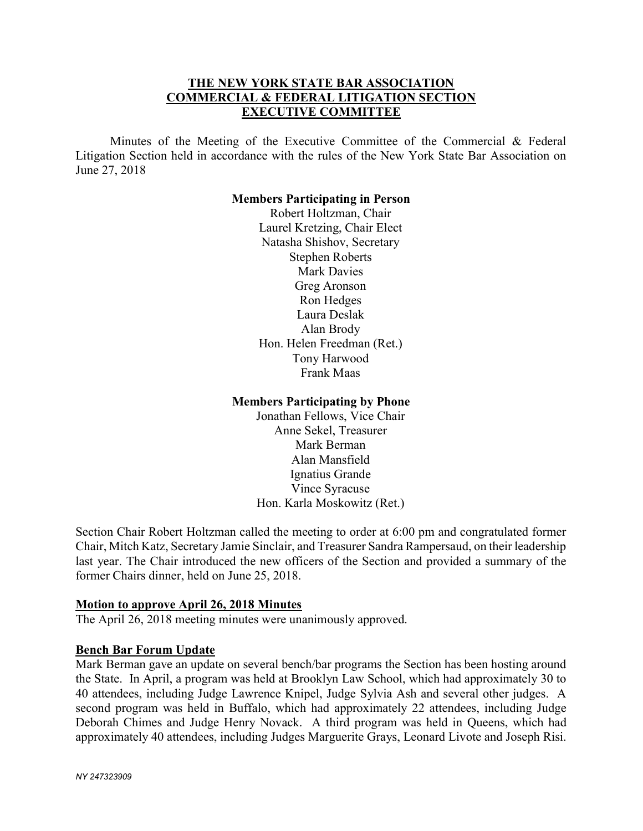# THE NEW YORK STATE BAR ASSOCIATION COMMERCIAL & FEDERAL LITIGATION SECTION EXECUTIVE COMMITTEE

 Minutes of the Meeting of the Executive Committee of the Commercial & Federal Litigation Section held in accordance with the rules of the New York State Bar Association on June 27, 2018

#### Members Participating in Person

Robert Holtzman, Chair Laurel Kretzing, Chair Elect Natasha Shishov, Secretary Stephen Roberts Mark Davies Greg Aronson Ron Hedges Laura Deslak Alan Brody Hon. Helen Freedman (Ret.) Tony Harwood Frank Maas

#### Members Participating by Phone

Jonathan Fellows, Vice Chair Anne Sekel, Treasurer Mark Berman Alan Mansfield Ignatius Grande Vince Syracuse Hon. Karla Moskowitz (Ret.)

Section Chair Robert Holtzman called the meeting to order at 6:00 pm and congratulated former Chair, Mitch Katz, Secretary Jamie Sinclair, and Treasurer Sandra Rampersaud, on their leadership last year. The Chair introduced the new officers of the Section and provided a summary of the former Chairs dinner, held on June 25, 2018.

## Motion to approve April 26, 2018 Minutes

The April 26, 2018 meeting minutes were unanimously approved.

## Bench Bar Forum Update

Mark Berman gave an update on several bench/bar programs the Section has been hosting around the State. In April, a program was held at Brooklyn Law School, which had approximately 30 to 40 attendees, including Judge Lawrence Knipel, Judge Sylvia Ash and several other judges. A second program was held in Buffalo, which had approximately 22 attendees, including Judge Deborah Chimes and Judge Henry Novack. A third program was held in Queens, which had approximately 40 attendees, including Judges Marguerite Grays, Leonard Livote and Joseph Risi.